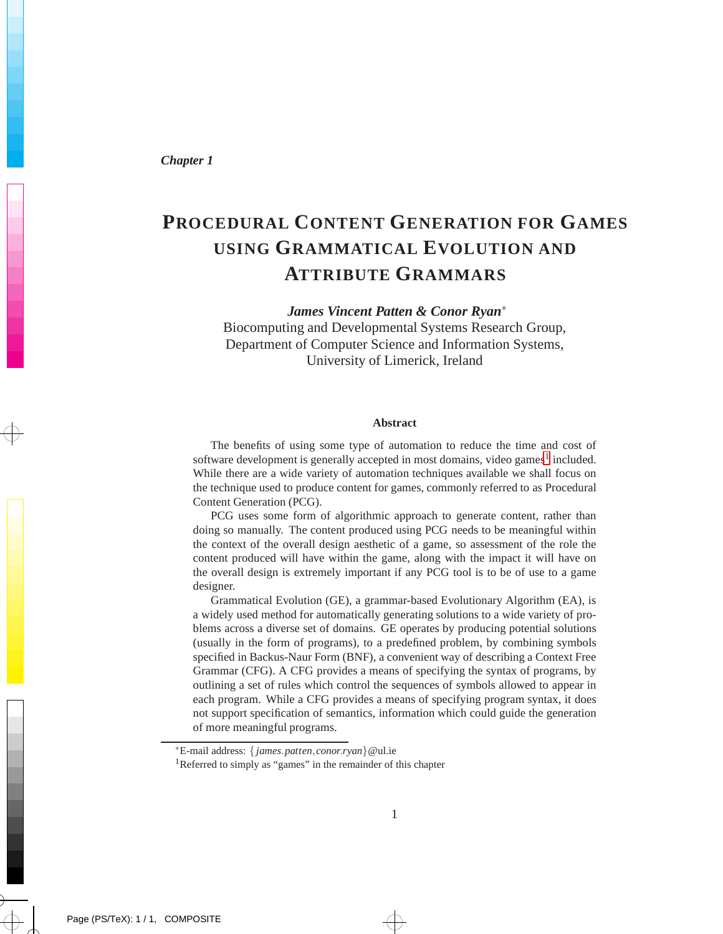*Chapter 1*

# **PROCEDURAL CONTENT GENERATION FOR GAMES USING GRAMMATICAL EVOLUTION AND ATTRIBUTE GRAMMARS**

*James Vincent Patten & Conor Ryan*<sup>∗</sup> Biocomputing and Developmental Systems Research Group, Department of Computer Science and Information Systems, University of Limerick, Ireland

#### **Abstract**

The benefits of using some type of automation to reduce the time and cost of software development is generally accepted in most domains, video games<sup>[1](#page-0-0)</sup> included. While there are a wide variety of automation techniques available we shall focus on the technique used to produce content for games, commonly referred to as Procedural Content Generation (PCG).

PCG uses some form of algorithmic approach to generate content, rather than doing so manually. The content produced using PCG needs to be meaningful within the context of the overall design aesthetic of a game, so assessment of the role the content produced will have within the game, along with the impact it will have on the overall design is extremely important if any PCG tool is to be of use to a game designer.

Grammatical Evolution (GE), a grammar-based Evolutionary Algorithm (EA), is a widely used method for automatically generating solutions to a wide variety of problems across a diverse set of domains. GE operates by producing potential solutions (usually in the form of programs), to a predefined problem, by combining symbols specified in Backus-Naur Form (BNF), a convenient way of describing a Context Free Grammar (CFG). A CFG provides a means of specifying the syntax of programs, by outlining a set of rules which control the sequences of symbols allowed to appear in each program. While a CFG provides a means of specifying program syntax, it does not support specification of semantics, information which could guide the generation of more meaningful programs.

 $\rightarrow$ 

<sup>∗</sup>E-mail address: { *james*.*patten*, *conor*.*ryan*}@ul.ie

<span id="page-0-0"></span><sup>1</sup>Referred to simply as "games" in the remainder of this chapter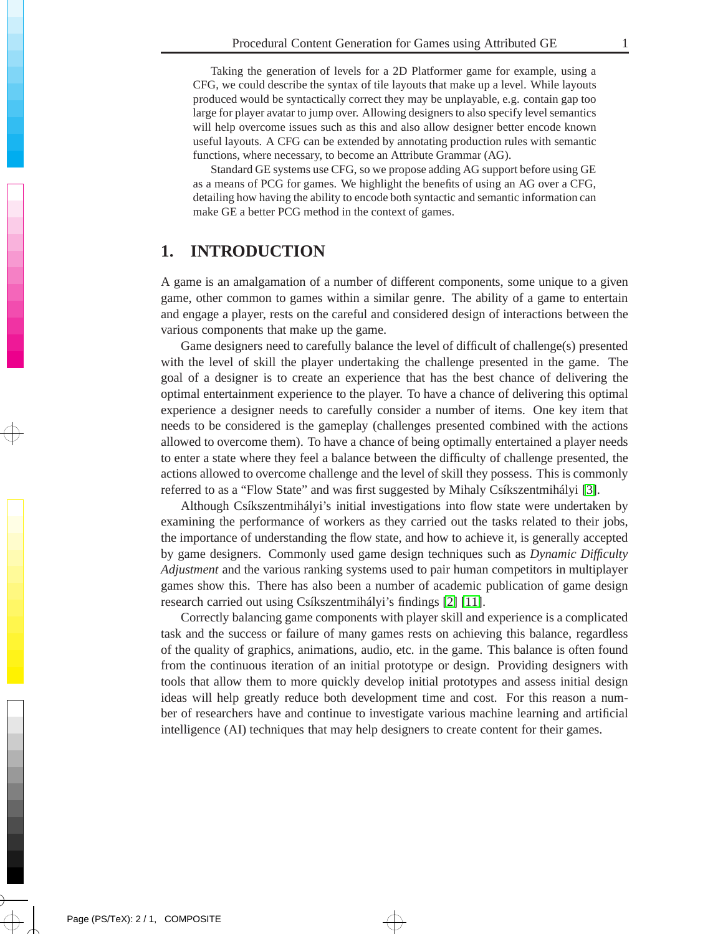Taking the generation of levels for a 2D Platformer game for example, using a CFG, we could describe the syntax of tile layouts that make up a level. While layouts produced would be syntactically correct they may be unplayable, e.g. contain gap too large for player avatar to jump over. Allowing designers to also specify level semantics will help overcome issues such as this and also allow designer better encode known useful layouts. A CFG can be extended by annotating production rules with semantic functions, where necessary, to become an Attribute Grammar (AG).

Standard GE systems use CFG, so we propose adding AG support before using GE as a means of PCG for games. We highlight the benefits of using an AG over a CFG, detailing how having the ability to encode both syntactic and semantic information can make GE a better PCG method in the context of games.

# <span id="page-1-0"></span>**1. INTRODUCTION**

A game is an amalgamation of a number of different components, some unique to a given game, other common to games within a similar genre. The ability of a game to entertain and engage a player, rests on the careful and considered design of interactions between the various components that make up the game.

Game designers need to carefully balance the level of difficult of challenge(s) presented with the level of skill the player undertaking the challenge presented in the game. The goal of a designer is to create an experience that has the best chance of delivering the optimal entertainment experience to the player. To have a chance of delivering this optimal experience a designer needs to carefully consider a number of items. One key item that needs to be considered is the gameplay (challenges presented combined with the actions allowed to overcome them). To have a chance of being optimally entertained a player needs to enter a state where they feel a balance between the difficulty of challenge presented, the actions allowed to overcome challenge and the level of skill they possess. This is commonly referred to as a "Flow State" and was first suggested by Mihaly Csíkszentmihályi [\[3\]](#page-10-0).

Although Csíkszentmihályi's initial investigations into flow state were undertaken by examining the performance of workers as they carried out the tasks related to their jobs, the importance of understanding the flow state, and how to achieve it, is generally accepted by game designers. Commonly used game design techniques such as *Dynamic Difficulty Adjustment* and the various ranking systems used to pair human competitors in multiplayer games show this. There has also been a number of academic publication of game design research carried out using Csíkszentmihályi's findings [\[2\]](#page-10-1) [\[11\]](#page-10-2).

Correctly balancing game components with player skill and experience is a complicated task and the success or failure of many games rests on achieving this balance, regardless of the quality of graphics, animations, audio, etc. in the game. This balance is often found from the continuous iteration of an initial prototype or design. Providing designers with tools that allow them to more quickly develop initial prototypes and assess initial design ideas will help greatly reduce both development time and cost. For this reason a number of researchers have and continue to investigate various machine learning and artificial intelligence (AI) techniques that may help designers to create content for their games.

 $\rightarrow$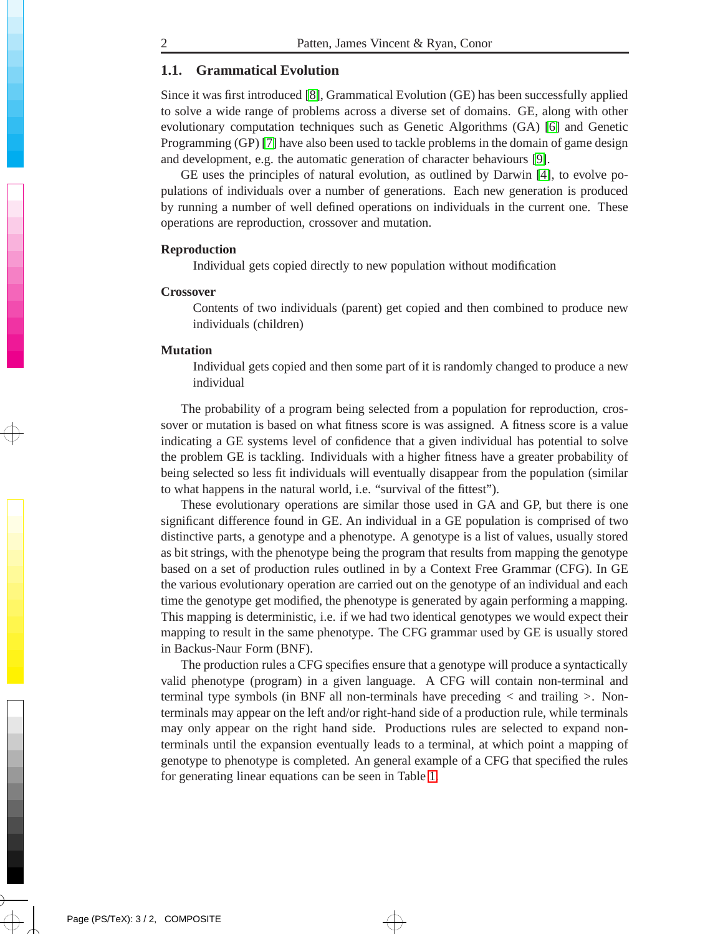### **1.1. Grammatical Evolution**

<span id="page-2-0"></span>Since it was first introduced [\[8\]](#page-10-3), Grammatical Evolution (GE) has been successfully applied to solve a wide range of problems across a diverse set of domains. GE, along with other evolutionary computation techniques such as Genetic Algorithms (GA) [\[6\]](#page-10-4) and Genetic Programming (GP) [\[7\]](#page-10-5) have also been used to tackle problems in the domain of game design and development, e.g. the automatic generation of character behaviours [\[9\]](#page-10-6).

GE uses the principles of natural evolution, as outlined by Darwin [\[4\]](#page-10-7), to evolve populations of individuals over a number of generations. Each new generation is produced by running a number of well defined operations on individuals in the current one. These operations are reproduction, crossover and mutation.

#### **Reproduction**

Individual gets copied directly to new population without modification

#### **Crossover**

Contents of two individuals (parent) get copied and then combined to produce new individuals (children)

#### **Mutation**

Individual gets copied and then some part of it is randomly changed to produce a new individual

The probability of a program being selected from a population for reproduction, crossover or mutation is based on what fitness score is was assigned. A fitness score is a value indicating a GE systems level of confidence that a given individual has potential to solve the problem GE is tackling. Individuals with a higher fitness have a greater probability of being selected so less fit individuals will eventually disappear from the population (similar to what happens in the natural world, i.e. "survival of the fittest").

These evolutionary operations are similar those used in GA and GP, but there is one significant difference found in GE. An individual in a GE population is comprised of two distinctive parts, a genotype and a phenotype. A genotype is a list of values, usually stored as bit strings, with the phenotype being the program that results from mapping the genotype based on a set of production rules outlined in by a Context Free Grammar (CFG). In GE the various evolutionary operation are carried out on the genotype of an individual and each time the genotype get modified, the phenotype is generated by again performing a mapping. This mapping is deterministic, i.e. if we had two identical genotypes we would expect their mapping to result in the same phenotype. The CFG grammar used by GE is usually stored in Backus-Naur Form (BNF).

The production rules a CFG specifies ensure that a genotype will produce a syntactically valid phenotype (program) in a given language. A CFG will contain non-terminal and terminal type symbols (in BNF all non-terminals have preceding *<* and trailing *>*. Nonterminals may appear on the left and/or right-hand side of a production rule, while terminals may only appear on the right hand side. Productions rules are selected to expand nonterminals until the expansion eventually leads to a terminal, at which point a mapping of genotype to phenotype is completed. An general example of a CFG that specified the rules for generating linear equations can be seen in Table [1.](#page-3-0)

 $\rightarrow$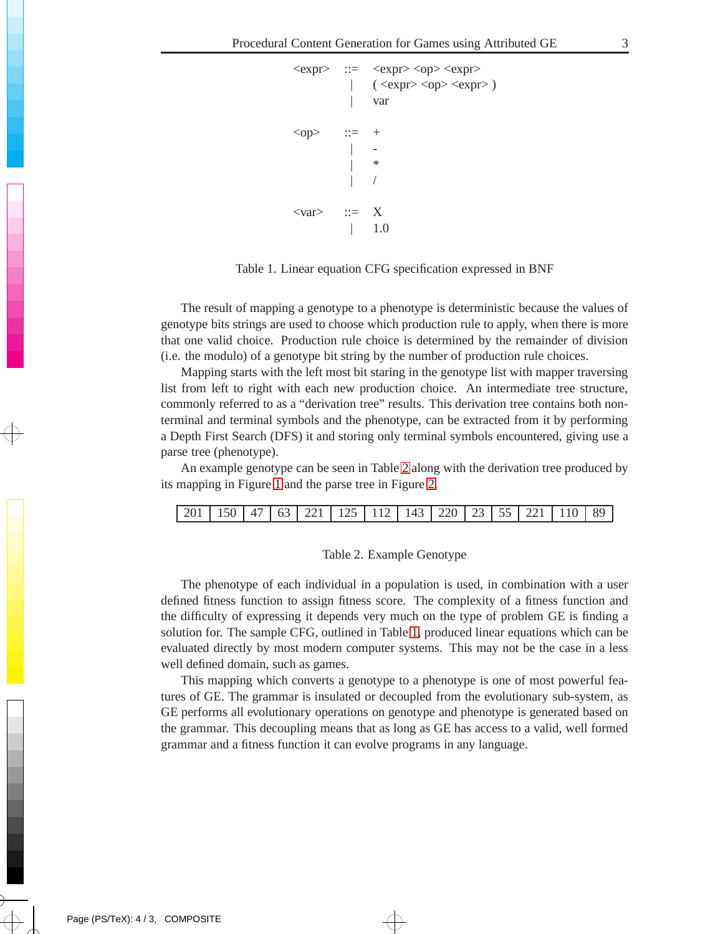```
\langle \text{expr} \rangle ::= \langle \text{expr} \rangle \langle \text{opp} \rangle|\quad ( <expr> <op> <expr> )
                       var
<op> ::=| -
                       \ast| /
\langle \text{var} \rangle ::= X
                | 1.0
```
<span id="page-3-0"></span>Table 1. Linear equation CFG specification expressed in BNF

The result of mapping a genotype to a phenotype is deterministic because the values of genotype bits strings are used to choose which production rule to apply, when there is more that one valid choice. Production rule choice is determined by the remainder of division (i.e. the modulo) of a genotype bit string by the number of production rule choices.

Mapping starts with the left most bit staring in the genotype list with mapper traversing list from left to right with each new production choice. An intermediate tree structure, commonly referred to as a "derivation tree" results. This derivation tree contains both nonterminal and terminal symbols and the phenotype, can be extracted from it by performing a Depth First Search (DFS) it and storing only terminal symbols encountered, giving use a parse tree (phenotype).

An example genotype can be seen in Table [2](#page-3-1) along with the derivation tree produced by its mapping in Figure [1](#page-4-0) and the parse tree in Figure [2.](#page-4-1)

| 201   150   47   63   221   125   112   143   220   23   55   221   110   89 |  |
|------------------------------------------------------------------------------|--|
|------------------------------------------------------------------------------|--|

#### <span id="page-3-1"></span>Table 2. Example Genotype

The phenotype of each individual in a population is used, in combination with a user defined fitness function to assign fitness score. The complexity of a fitness function and the difficulty of expressing it depends very much on the type of problem GE is finding a solution for. The sample CFG, outlined in Table [1,](#page-3-0) produced linear equations which can be evaluated directly by most modern computer systems. This may not be the case in a less well defined domain, such as games.

This mapping which converts a genotype to a phenotype is one of most powerful features of GE. The grammar is insulated or decoupled from the evolutionary sub-system, as GE performs all evolutionary operations on genotype and phenotype is generated based on the grammar. This decoupling means that as long as GE has access to a valid, well formed grammar and a fitness function it can evolve programs in any language.

 $\rightarrow$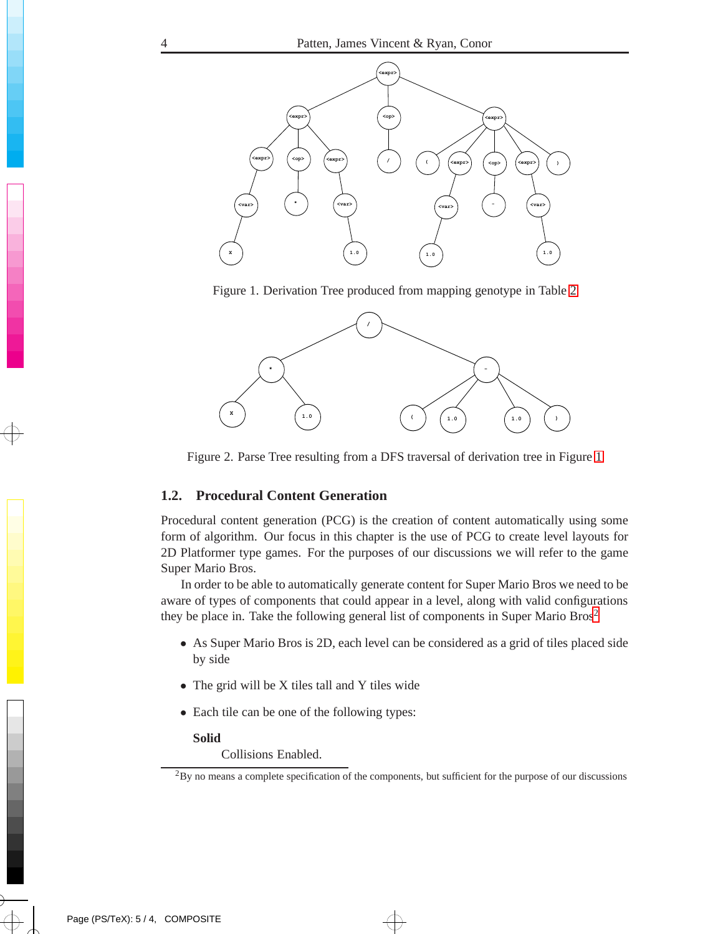

Figure 1. Derivation Tree produced from mapping genotype in Table [2](#page-3-1)

<span id="page-4-0"></span>

Figure 2. Parse Tree resulting from a DFS traversal of derivation tree in Figure [1](#page-4-0)

### <span id="page-4-1"></span>**1.2. Procedural Content Generation**

<span id="page-4-3"></span>Procedural content generation (PCG) is the creation of content automatically using some form of algorithm. Our focus in this chapter is the use of PCG to create level layouts for 2D Platformer type games. For the purposes of our discussions we will refer to the game Super Mario Bros.

In order to be able to automatically generate content for Super Mario Bros we need to be aware of types of components that could appear in a level, along with valid configurations they be place in. Take the following general list of components in Super Mario  $Bros<sup>2</sup>$  $Bros<sup>2</sup>$  $Bros<sup>2</sup>$ 

- As Super Mario Bros is 2D, each level can be considered as a grid of tiles placed side by side
- The grid will be X tiles tall and Y tiles wide
- Each tile can be one of the following types:

#### **Solid**

Collisions Enabled.

 $\rightarrow$ 

<span id="page-4-2"></span> $2$ By no means a complete specification of the components, but sufficient for the purpose of our discussions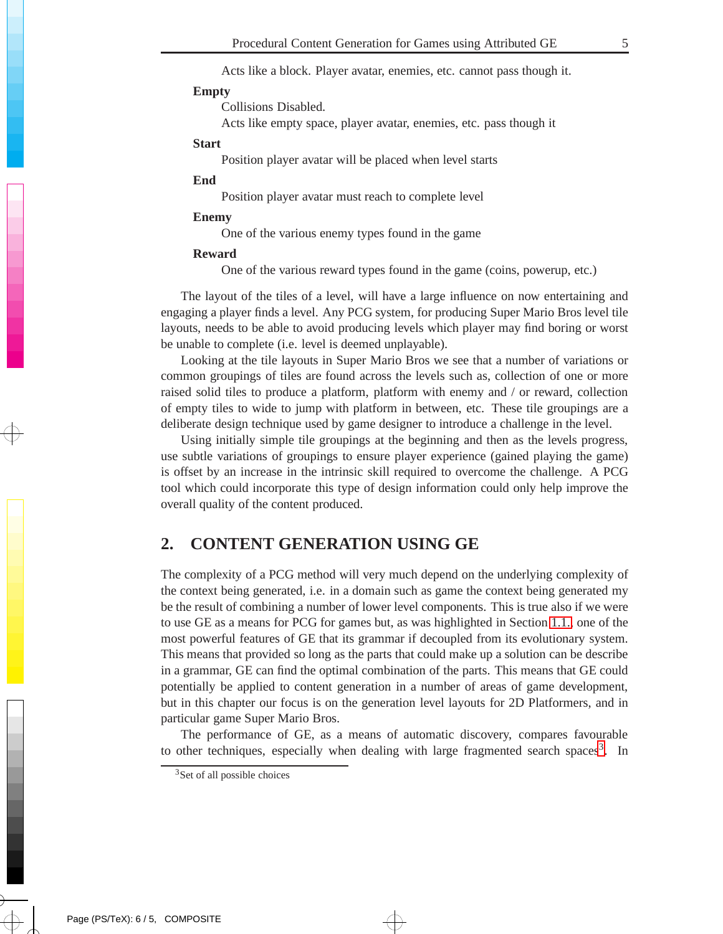Acts like a block. Player avatar, enemies, etc. cannot pass though it.

#### **Empty**

Collisions Disabled.

Acts like empty space, player avatar, enemies, etc. pass though it

#### **Start**

Position player avatar will be placed when level starts

### **End**

Position player avatar must reach to complete level

### **Enemy**

One of the various enemy types found in the game

#### **Reward**

One of the various reward types found in the game (coins, powerup, etc.)

The layout of the tiles of a level, will have a large influence on now entertaining and engaging a player finds a level. Any PCG system, for producing Super Mario Bros level tile layouts, needs to be able to avoid producing levels which player may find boring or worst be unable to complete (i.e. level is deemed unplayable).

Looking at the tile layouts in Super Mario Bros we see that a number of variations or common groupings of tiles are found across the levels such as, collection of one or more raised solid tiles to produce a platform, platform with enemy and / or reward, collection of empty tiles to wide to jump with platform in between, etc. These tile groupings are a deliberate design technique used by game designer to introduce a challenge in the level.

Using initially simple tile groupings at the beginning and then as the levels progress, use subtle variations of groupings to ensure player experience (gained playing the game) is offset by an increase in the intrinsic skill required to overcome the challenge. A PCG tool which could incorporate this type of design information could only help improve the overall quality of the content produced.

# **2. CONTENT GENERATION USING GE**

The complexity of a PCG method will very much depend on the underlying complexity of the context being generated, i.e. in a domain such as game the context being generated my be the result of combining a number of lower level components. This is true also if we were to use GE as a means for PCG for games but, as was highlighted in Section [1.1.,](#page-2-0) one of the most powerful features of GE that its grammar if decoupled from its evolutionary system. This means that provided so long as the parts that could make up a solution can be describe in a grammar, GE can find the optimal combination of the parts. This means that GE could potentially be applied to content generation in a number of areas of game development, but in this chapter our focus is on the generation level layouts for 2D Platformers, and in particular game Super Mario Bros.

The performance of GE, as a means of automatic discovery, compares favourable to other techniques, especially when dealing with large fragmented search spaces<sup>[3](#page-5-0)</sup>. In

 $\rightarrow$ 

<span id="page-5-0"></span><sup>&</sup>lt;sup>3</sup>Set of all possible choices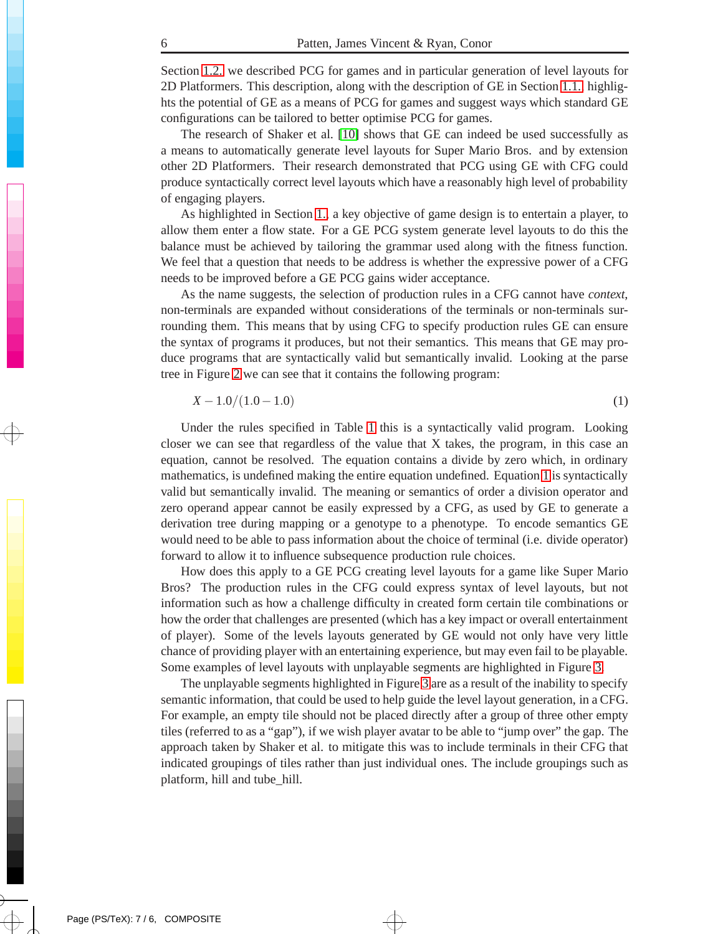Section [1.2.](#page-4-3) we described PCG for games and in particular generation of level layouts for 2D Platformers. This description, along with the description of GE in Section [1.1.,](#page-2-0) highlights the potential of GE as a means of PCG for games and suggest ways which standard GE configurations can be tailored to better optimise PCG for games.

The research of Shaker et al. [\[10\]](#page-10-8) shows that GE can indeed be used successfully as a means to automatically generate level layouts for Super Mario Bros. and by extension other 2D Platformers. Their research demonstrated that PCG using GE with CFG could produce syntactically correct level layouts which have a reasonably high level of probability of engaging players.

As highlighted in Section [1.,](#page-1-0) a key objective of game design is to entertain a player, to allow them enter a flow state. For a GE PCG system generate level layouts to do this the balance must be achieved by tailoring the grammar used along with the fitness function. We feel that a question that needs to be address is whether the expressive power of a CFG needs to be improved before a GE PCG gains wider acceptance.

As the name suggests, the selection of production rules in a CFG cannot have *context*, non-terminals are expanded without considerations of the terminals or non-terminals surrounding them. This means that by using CFG to specify production rules GE can ensure the syntax of programs it produces, but not their semantics. This means that GE may produce programs that are syntactically valid but semantically invalid. Looking at the parse tree in Figure [2](#page-4-1) we can see that it contains the following program:

$$
X - 1.0/(1.0 - 1.0) \tag{1}
$$

<span id="page-6-0"></span>Under the rules specified in Table [1](#page-3-0) this is a syntactically valid program. Looking closer we can see that regardless of the value that X takes, the program, in this case an equation, cannot be resolved. The equation contains a divide by zero which, in ordinary mathematics, is undefined making the entire equation undefined. Equation [1](#page-6-0) is syntactically valid but semantically invalid. The meaning or semantics of order a division operator and zero operand appear cannot be easily expressed by a CFG, as used by GE to generate a derivation tree during mapping or a genotype to a phenotype. To encode semantics GE would need to be able to pass information about the choice of terminal (i.e. divide operator) forward to allow it to influence subsequence production rule choices.

How does this apply to a GE PCG creating level layouts for a game like Super Mario Bros? The production rules in the CFG could express syntax of level layouts, but not information such as how a challenge difficulty in created form certain tile combinations or how the order that challenges are presented (which has a key impact or overall entertainment of player). Some of the levels layouts generated by GE would not only have very little chance of providing player with an entertaining experience, but may even fail to be playable. Some examples of level layouts with unplayable segments are highlighted in Figure [3.](#page-7-0)

The unplayable segments highlighted in Figure [3](#page-7-0) are as a result of the inability to specify semantic information, that could be used to help guide the level layout generation, in a CFG. For example, an empty tile should not be placed directly after a group of three other empty tiles (referred to as a "gap"), if we wish player avatar to be able to "jump over" the gap. The approach taken by Shaker et al. to mitigate this was to include terminals in their CFG that indicated groupings of tiles rather than just individual ones. The include groupings such as platform, hill and tube\_hill.

 $\rightarrow$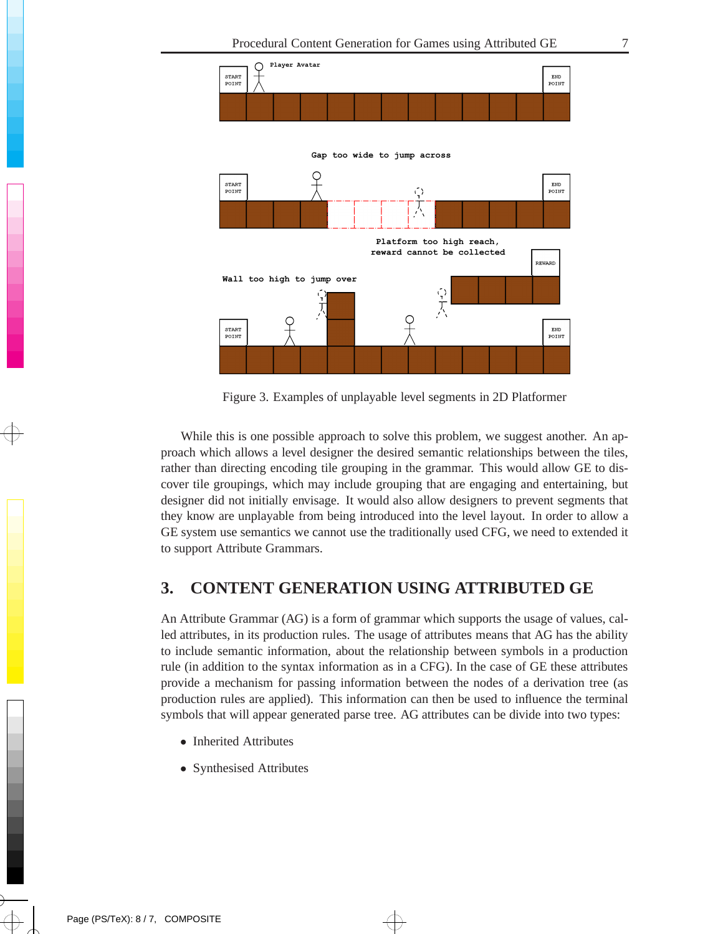

<span id="page-7-0"></span>Figure 3. Examples of unplayable level segments in 2D Platformer

While this is one possible approach to solve this problem, we suggest another. An approach which allows a level designer the desired semantic relationships between the tiles, rather than directing encoding tile grouping in the grammar. This would allow GE to discover tile groupings, which may include grouping that are engaging and entertaining, but designer did not initially envisage. It would also allow designers to prevent segments that they know are unplayable from being introduced into the level layout. In order to allow a GE system use semantics we cannot use the traditionally used CFG, we need to extended it to support Attribute Grammars.

# **3. CONTENT GENERATION USING ATTRIBUTED GE**

An Attribute Grammar (AG) is a form of grammar which supports the usage of values, called attributes, in its production rules. The usage of attributes means that AG has the ability to include semantic information, about the relationship between symbols in a production rule (in addition to the syntax information as in a CFG). In the case of GE these attributes provide a mechanism for passing information between the nodes of a derivation tree (as production rules are applied). This information can then be used to influence the terminal symbols that will appear generated parse tree. AG attributes can be divide into two types:

 $\bigoplus$ 

- Inherited Attributes
- Synthesised Attributes

 $\rightarrow$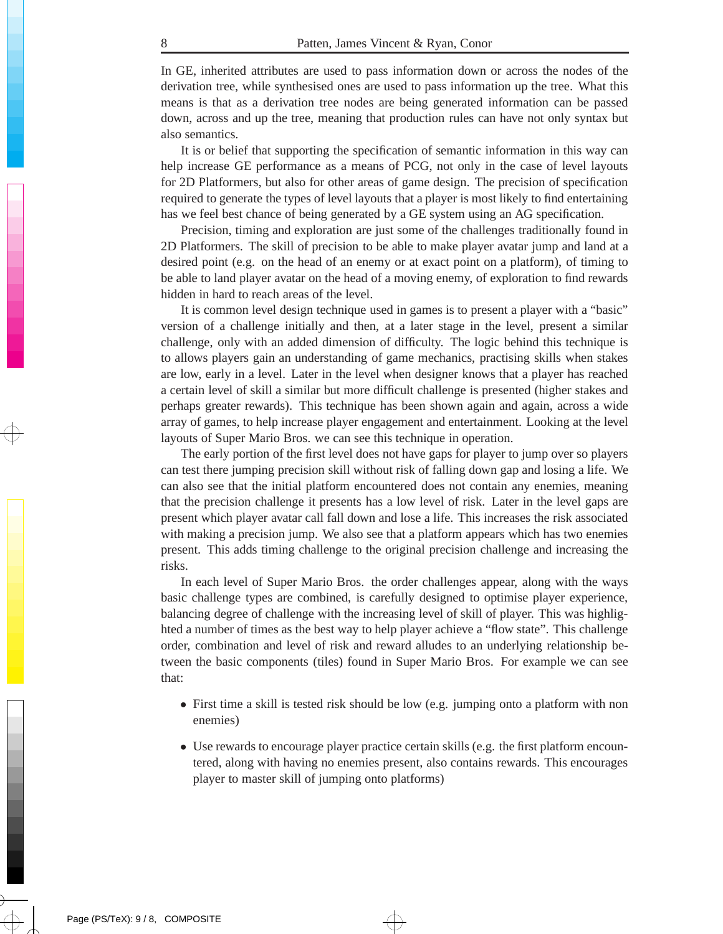In GE, inherited attributes are used to pass information down or across the nodes of the derivation tree, while synthesised ones are used to pass information up the tree. What this means is that as a derivation tree nodes are being generated information can be passed down, across and up the tree, meaning that production rules can have not only syntax but also semantics.

It is or belief that supporting the specification of semantic information in this way can help increase GE performance as a means of PCG, not only in the case of level layouts for 2D Platformers, but also for other areas of game design. The precision of specification required to generate the types of level layouts that a player is most likely to find entertaining has we feel best chance of being generated by a GE system using an AG specification.

Precision, timing and exploration are just some of the challenges traditionally found in 2D Platformers. The skill of precision to be able to make player avatar jump and land at a desired point (e.g. on the head of an enemy or at exact point on a platform), of timing to be able to land player avatar on the head of a moving enemy, of exploration to find rewards hidden in hard to reach areas of the level.

It is common level design technique used in games is to present a player with a "basic" version of a challenge initially and then, at a later stage in the level, present a similar challenge, only with an added dimension of difficulty. The logic behind this technique is to allows players gain an understanding of game mechanics, practising skills when stakes are low, early in a level. Later in the level when designer knows that a player has reached a certain level of skill a similar but more difficult challenge is presented (higher stakes and perhaps greater rewards). This technique has been shown again and again, across a wide array of games, to help increase player engagement and entertainment. Looking at the level layouts of Super Mario Bros. we can see this technique in operation.

The early portion of the first level does not have gaps for player to jump over so players can test there jumping precision skill without risk of falling down gap and losing a life. We can also see that the initial platform encountered does not contain any enemies, meaning that the precision challenge it presents has a low level of risk. Later in the level gaps are present which player avatar call fall down and lose a life. This increases the risk associated with making a precision jump. We also see that a platform appears which has two enemies present. This adds timing challenge to the original precision challenge and increasing the risks.

In each level of Super Mario Bros. the order challenges appear, along with the ways basic challenge types are combined, is carefully designed to optimise player experience, balancing degree of challenge with the increasing level of skill of player. This was highlighted a number of times as the best way to help player achieve a "flow state". This challenge order, combination and level of risk and reward alludes to an underlying relationship between the basic components (tiles) found in Super Mario Bros. For example we can see that:

- First time a skill is tested risk should be low (e.g. jumping onto a platform with non enemies)
- Use rewards to encourage player practice certain skills (e.g. the first platform encountered, along with having no enemies present, also contains rewards. This encourages player to master skill of jumping onto platforms)

 $\rightarrow$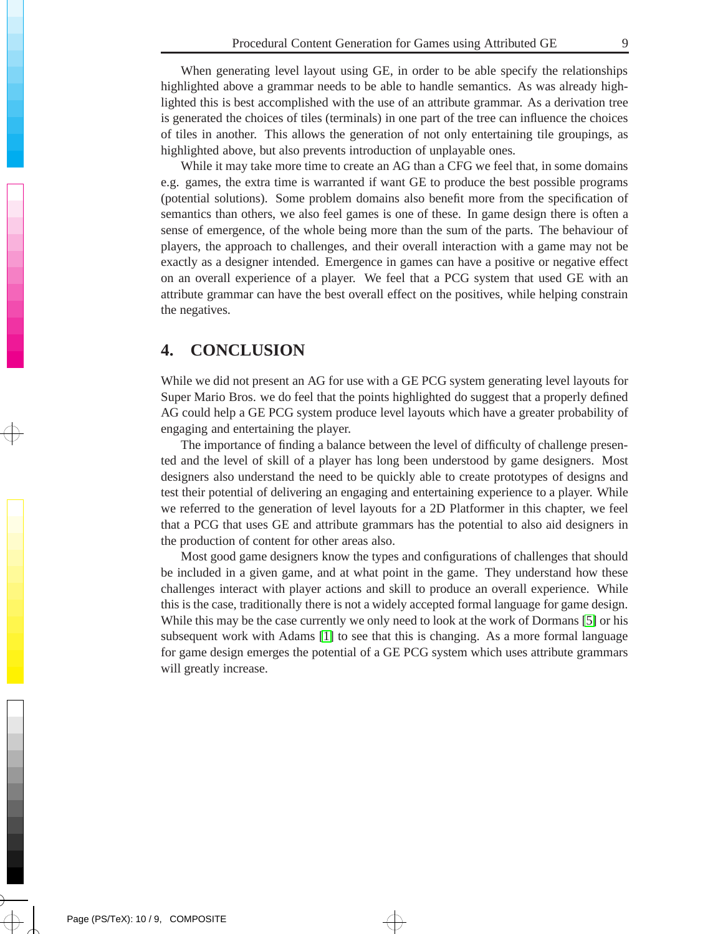When generating level layout using GE, in order to be able specify the relationships highlighted above a grammar needs to be able to handle semantics. As was already highlighted this is best accomplished with the use of an attribute grammar. As a derivation tree is generated the choices of tiles (terminals) in one part of the tree can influence the choices of tiles in another. This allows the generation of not only entertaining tile groupings, as highlighted above, but also prevents introduction of unplayable ones.

While it may take more time to create an AG than a CFG we feel that, in some domains e.g. games, the extra time is warranted if want GE to produce the best possible programs (potential solutions). Some problem domains also benefit more from the specification of semantics than others, we also feel games is one of these. In game design there is often a sense of emergence, of the whole being more than the sum of the parts. The behaviour of players, the approach to challenges, and their overall interaction with a game may not be exactly as a designer intended. Emergence in games can have a positive or negative effect on an overall experience of a player. We feel that a PCG system that used GE with an attribute grammar can have the best overall effect on the positives, while helping constrain the negatives.

# **4. CONCLUSION**

While we did not present an AG for use with a GE PCG system generating level layouts for Super Mario Bros. we do feel that the points highlighted do suggest that a properly defined AG could help a GE PCG system produce level layouts which have a greater probability of engaging and entertaining the player.

The importance of finding a balance between the level of difficulty of challenge presented and the level of skill of a player has long been understood by game designers. Most designers also understand the need to be quickly able to create prototypes of designs and test their potential of delivering an engaging and entertaining experience to a player. While we referred to the generation of level layouts for a 2D Platformer in this chapter, we feel that a PCG that uses GE and attribute grammars has the potential to also aid designers in the production of content for other areas also.

Most good game designers know the types and configurations of challenges that should be included in a given game, and at what point in the game. They understand how these challenges interact with player actions and skill to produce an overall experience. While this is the case, traditionally there is not a widely accepted formal language for game design. While this may be the case currently we only need to look at the work of Dormans [\[5\]](#page-10-9) or his subsequent work with Adams [\[1\]](#page-10-10) to see that this is changing. As a more formal language for game design emerges the potential of a GE PCG system which uses attribute grammars will greatly increase.

 $\rightarrow$